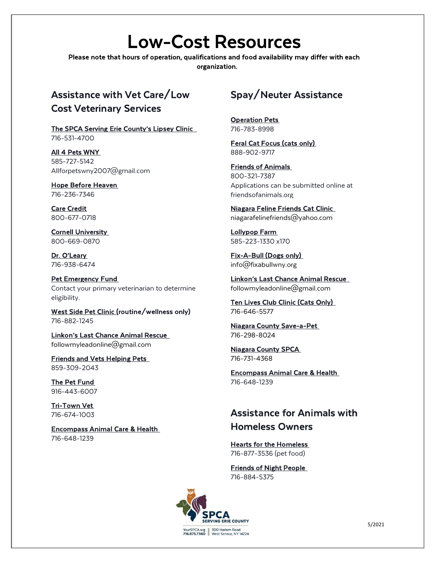# Low-Cost Resources

Please note that hours of operation, qualifications and food availability may differ with each organization.

## Assistance with Vet Care/Low Cost Veterinary Services

The SPCA Serving Erie County's Lipsey Clinic 716-531-4700

All 4 Pets WNY 585-727-5142 Allforpetswny2007@gmail.com

Hope Before Heaven 716-236-7346

Care Credit 800-677-0718

Cornell University 800-669-0870

Dr. O'Leary 716-938-6474

Pet Emergency Fund Contact your primary veterinarian to determine eligibility.

West Side Pet Clinic (routine/wellness only) 716-882-1245

Linkon's Last Chance Animal Rescue followmyleadonline@gmail.com

Friends and Vets Helping Pets 859-309-2043

The Pet Fund 916-443-6007

Tri-Town Vet 716-674-1003

Encompass Animal Care & Health 716-648-1239

## Spay/Neuter Assistance

Operation Pets 716-783-8998

Feral Cat Focus (cats only) 888-902-9717

Friends of Animals 800-321-7387 Applications can be submitted online at friendsofanimals.org

Niagara Feline Friends Cat Clinic niagarafelinefriends@yahoo.com

Lollypop Farm 585-223-1330 x170

Fix-A-Bull (Dogs only) info@fixabullwny.org

Linkon's Last Chance Animal Rescue followmyleadonline@gmail.com

Ten Lives Club Clinic (Cats Only) 716-646-5577

Niagara County Save-a-Pet 716-298-8024

Niagara County SPCA 716-731-4368

Encompass Animal Care & Health 716-648-1239

## Assistance for Animals with Homeless Owners

Hearts for the Homeless 716-877-3536 (pet food)

Friends of Night People 716-884-5375